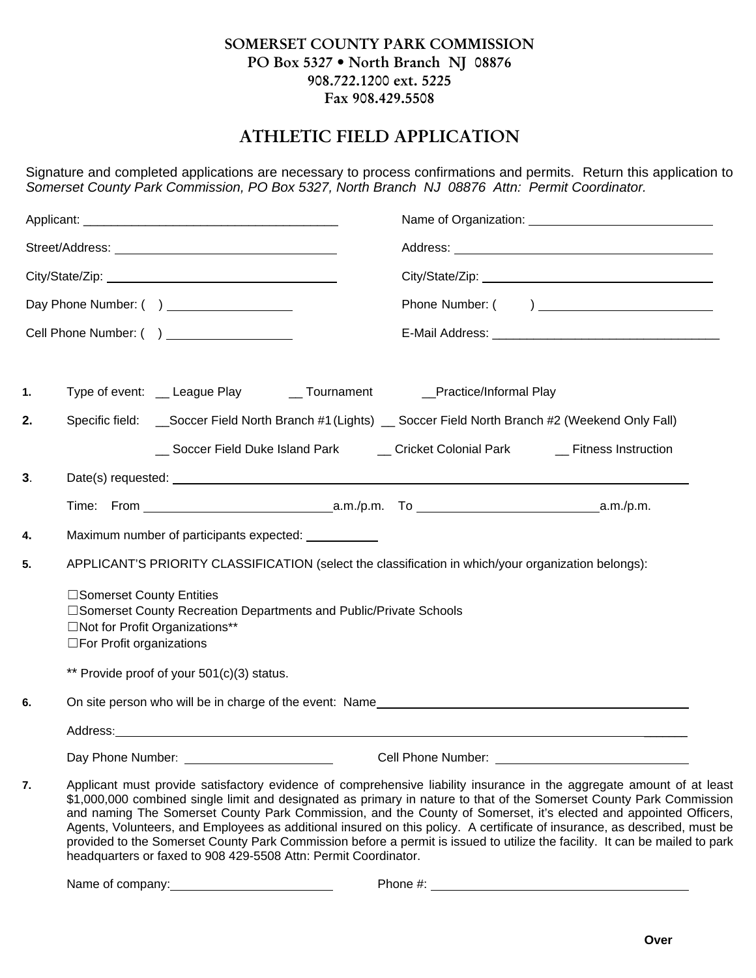## **SOMERSET COUNTY PARK COMMISSION PO Box 5327 • North Branch NJ 08876 908.722.1200 ext.** 5**225 Fax 908.429.5508**

## **ATHLETIC FIELD APPLICATION**

Signature and completed applications are necessary to process confirmations and permits. Return this application to *Somerset County Park Commission, PO Box 5327, North Branch NJ 08876 Attn: Permit Coordinator.*

|    | Day Phone Number: ( ) __________________                                                                                                                        |                                                                                                                                                                                                                                                                                                                                                                   |  |  |
|----|-----------------------------------------------------------------------------------------------------------------------------------------------------------------|-------------------------------------------------------------------------------------------------------------------------------------------------------------------------------------------------------------------------------------------------------------------------------------------------------------------------------------------------------------------|--|--|
|    |                                                                                                                                                                 |                                                                                                                                                                                                                                                                                                                                                                   |  |  |
| 1. | Type of event: __ League Play ___ Tournament ______ Practice/Informal Play                                                                                      |                                                                                                                                                                                                                                                                                                                                                                   |  |  |
| 2. | Specific field: __Soccer Field North Branch #1 (Lights) __Soccer Field North Branch #2 (Weekend Only Fall)                                                      |                                                                                                                                                                                                                                                                                                                                                                   |  |  |
|    |                                                                                                                                                                 | __ Soccer Field Duke Island Park ______ Cricket Colonial Park ________ Fitness Instruction                                                                                                                                                                                                                                                                        |  |  |
| 3. |                                                                                                                                                                 |                                                                                                                                                                                                                                                                                                                                                                   |  |  |
|    |                                                                                                                                                                 |                                                                                                                                                                                                                                                                                                                                                                   |  |  |
| 4. | Maximum number of participants expected:                                                                                                                        |                                                                                                                                                                                                                                                                                                                                                                   |  |  |
| 5. | APPLICANT'S PRIORITY CLASSIFICATION (select the classification in which/your organization belongs):                                                             |                                                                                                                                                                                                                                                                                                                                                                   |  |  |
|    | □Somerset County Entities<br>□Somerset County Recreation Departments and Public/Private Schools<br>□Not for Profit Organizations**<br>□For Profit organizations |                                                                                                                                                                                                                                                                                                                                                                   |  |  |
|    | ** Provide proof of your 501(c)(3) status.                                                                                                                      |                                                                                                                                                                                                                                                                                                                                                                   |  |  |
| 6. |                                                                                                                                                                 |                                                                                                                                                                                                                                                                                                                                                                   |  |  |
|    |                                                                                                                                                                 |                                                                                                                                                                                                                                                                                                                                                                   |  |  |
|    |                                                                                                                                                                 |                                                                                                                                                                                                                                                                                                                                                                   |  |  |
| 7. |                                                                                                                                                                 | Applicant must provide satisfactory evidence of comprehensive liability insurance in the aggregate amount of at least<br>\$1,000,000 combined single limit and designated as primary in nature to that of the Somerset County Park Commission<br>and naming The Somerset County Park Commission, and the County of Somerset, it's elected and appointed Officers, |  |  |

and naming The Somerset County Park Commission, and the County of Somerset, it's elected and appointed Officers, Agents, Volunteers, and Employees as additional insured on this policy. A certificate of insurance, as described, must be provided to the Somerset County Park Commission before a permit is issued to utilize the facility. It can be mailed to park headquarters or faxed to 908 429-5508 Attn: Permit Coordinator.

Name of company: <u>example and company</u> example and company example and company example and company example and company example and company example and company example and company example and company example and company exa